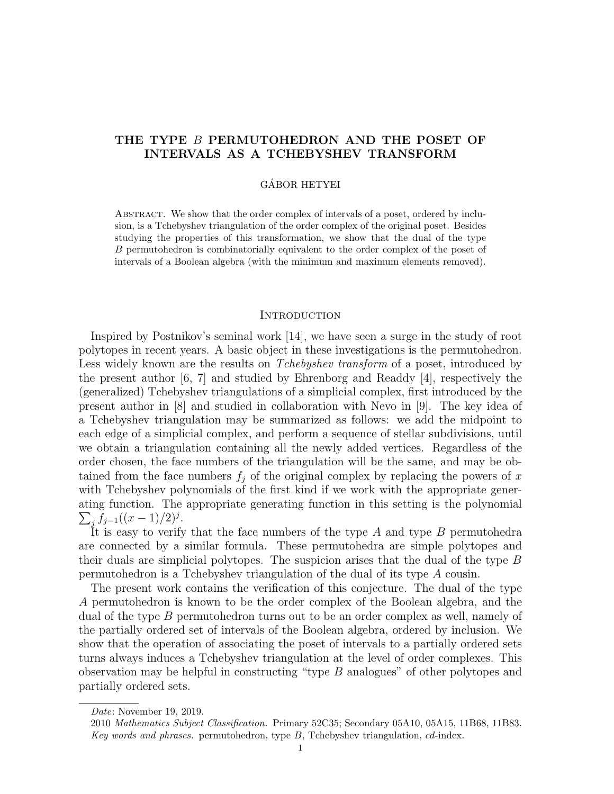# THE TYPE B PERMUTOHEDRON AND THE POSET OF INTERVALS AS A TCHEBYSHEV TRANSFORM

#### GÁBOR HETYEI

Abstract. We show that the order complex of intervals of a poset, ordered by inclusion, is a Tchebyshev triangulation of the order complex of the original poset. Besides studying the properties of this transformation, we show that the dual of the type B permutohedron is combinatorially equivalent to the order complex of the poset of intervals of a Boolean algebra (with the minimum and maximum elements removed).

## **INTRODUCTION**

Inspired by Postnikov's seminal work [14], we have seen a surge in the study of root polytopes in recent years. A basic object in these investigations is the permutohedron. Less widely known are the results on *Tchebyshev transform* of a poset, introduced by the present author [6, 7] and studied by Ehrenborg and Readdy [4], respectively the (generalized) Tchebyshev triangulations of a simplicial complex, first introduced by the present author in [8] and studied in collaboration with Nevo in [9]. The key idea of a Tchebyshev triangulation may be summarized as follows: we add the midpoint to each edge of a simplicial complex, and perform a sequence of stellar subdivisions, until we obtain a triangulation containing all the newly added vertices. Regardless of the order chosen, the face numbers of the triangulation will be the same, and may be obtained from the face numbers  $f_i$  of the original complex by replacing the powers of x with Tchebyshev polynomials of the first kind if we work with the appropriate generating function. The appropriate generating function in this setting is the polynomial  $\sum_{j} f_{j-1}((x-1)/2)^{j}.$ 

It is easy to verify that the face numbers of the type  $A$  and type  $B$  permutohedra are connected by a similar formula. These permutohedra are simple polytopes and their duals are simplicial polytopes. The suspicion arises that the dual of the type B permutohedron is a Tchebyshev triangulation of the dual of its type A cousin.

The present work contains the verification of this conjecture. The dual of the type A permutohedron is known to be the order complex of the Boolean algebra, and the dual of the type B permutohedron turns out to be an order complex as well, namely of the partially ordered set of intervals of the Boolean algebra, ordered by inclusion. We show that the operation of associating the poset of intervals to a partially ordered sets turns always induces a Tchebyshev triangulation at the level of order complexes. This observation may be helpful in constructing "type B analogues" of other polytopes and partially ordered sets.

Date: November 19, 2019.

<sup>2010</sup> Mathematics Subject Classification. Primary 52C35; Secondary 05A10, 05A15, 11B68, 11B83. Key words and phrases. permutohedron, type  $B$ , Tchebyshev triangulation,  $cd$ -index.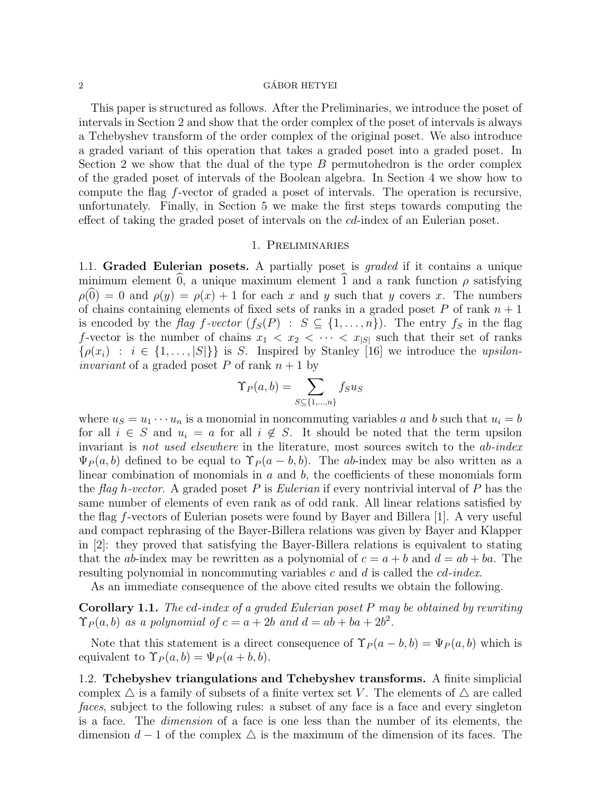#### $\alpha$  GÁBOR HETYEI

This paper is structured as follows. After the Preliminaries, we introduce the poset of intervals in Section 2 and show that the order complex of the poset of intervals is always a Tchebyshev transform of the order complex of the original poset. We also introduce a graded variant of this operation that takes a graded poset into a graded poset. In Section 2 we show that the dual of the type  $B$  permutohedron is the order complex of the graded poset of intervals of the Boolean algebra. In Section 4 we show how to compute the flag f-vector of graded a poset of intervals. The operation is recursive, unfortunately. Finally, in Section 5 we make the first steps towards computing the effect of taking the graded poset of intervals on the cd-index of an Eulerian poset.

## 1. Preliminaries

1.1. Graded Eulerian posets. A partially poset is *graded* if it contains a unique minimum element  $\hat{0}$ , a unique maximum element  $\hat{1}$  and a rank function  $\rho$  satisfying  $\rho(0) = 0$  and  $\rho(y) = \rho(x) + 1$  for each x and y such that y covers x. The numbers of chains containing elements of fixed sets of ranks in a graded poset P of rank  $n + 1$ is encoded by the flag f-vector  $(f_S(P) : S \subseteq \{1, ..., n\})$ . The entry  $f_S$  in the flag f-vector is the number of chains  $x_1 < x_2 < \cdots < x_{|S|}$  such that their set of ranks  $\{\rho(x_i) : i \in \{1, \ldots, |S|\}\}\$ is S. Inspired by Stanley [16] we introduce the upsilon*invariant* of a graded poset P of rank  $n + 1$  by

$$
\Upsilon_P(a,b) = \sum_{S \subseteq \{1,\dots,n\}} f_S u_S
$$

where  $u_S = u_1 \cdots u_n$  is a monomial in noncommuting variables a and b such that  $u_i = b$ for all  $i \in S$  and  $u_i = a$  for all  $i \notin S$ . It should be noted that the term upsilon invariant is not used elsewhere in the literature, most sources switch to the ab-index  $\Psi_P(a, b)$  defined to be equal to  $\Upsilon_P(a - b, b)$ . The ab-index may be also written as a linear combination of monomials in  $a$  and  $b$ , the coefficients of these monomials form the flag h-vector. A graded poset P is Eulerian if every nontrivial interval of P has the same number of elements of even rank as of odd rank. All linear relations satisfied by the flag f-vectors of Eulerian posets were found by Bayer and Billera [1]. A very useful and compact rephrasing of the Bayer-Billera relations was given by Bayer and Klapper in [2]: they proved that satisfying the Bayer-Billera relations is equivalent to stating that the ab-index may be rewritten as a polynomial of  $c = a + b$  and  $d = ab + ba$ . The resulting polynomial in noncommuting variables c and d is called the cd-index.

As an immediate consequence of the above cited results we obtain the following.

Corollary 1.1. The cd-index of a graded Eulerian poset P may be obtained by rewriting  $\Upsilon_P(a, b)$  as a polynomial of  $c = a + 2b$  and  $d = ab + ba + 2b^2$ .

Note that this statement is a direct consequence of  $\Upsilon_P(a-b,b) = \Psi_P(a,b)$  which is equivalent to  $\Upsilon_P(a, b) = \Psi_P(a + b, b)$ .

1.2. Tchebyshev triangulations and Tchebyshev transforms. A finite simplicial complex  $\triangle$  is a family of subsets of a finite vertex set V. The elements of  $\triangle$  are called faces, subject to the following rules: a subset of any face is a face and every singleton is a face. The dimension of a face is one less than the number of its elements, the dimension  $d-1$  of the complex  $\triangle$  is the maximum of the dimension of its faces. The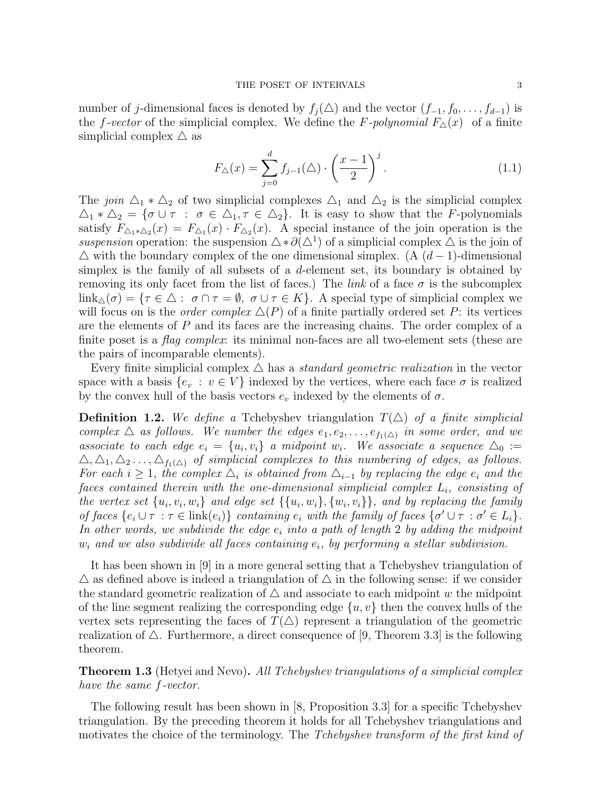number of j-dimensional faces is denoted by  $f_j(\Delta)$  and the vector  $(f_{-1}, f_0, \ldots, f_{d-1})$  is the f-vector of the simplicial complex. We define the F-polynomial  $F_{\Delta}(x)$  of a finite simplicial complex  $\triangle$  as

$$
F_{\Delta}(x) = \sum_{j=0}^{d} f_{j-1}(\Delta) \cdot \left(\frac{x-1}{2}\right)^j.
$$
 (1.1)

The join  $\Delta_1 * \Delta_2$  of two simplicial complexes  $\Delta_1$  and  $\Delta_2$  is the simplicial complex  $\Delta_1 * \Delta_2 = \{ \sigma \cup \tau : \sigma \in \Delta_1, \tau \in \Delta_2 \}.$  It is easy to show that the F-polynomials satisfy  $F_{\Delta_1 * \Delta_2}(x) = F_{\Delta_1}(x) \cdot F_{\Delta_2}(x)$ . A special instance of the join operation is the suspension operation: the suspension  $\Delta * \partial(\Delta^1)$  of a simplicial complex  $\Delta$  is the join of  $\Delta$  with the boundary complex of the one dimensional simplex. (A  $(d-1)$ -dimensional simplex is the family of all subsets of a  $d$ -element set, its boundary is obtained by removing its only facet from the list of faces.) The *link* of a face  $\sigma$  is the subcomplex  $\lim_{\Delta(\sigma) = {\tau \in \Delta : \sigma \cap \tau = \emptyset, \sigma \cup \tau \in K}.$  A special type of simplicial complex we will focus on is the *order complex*  $\Delta(P)$  of a finite partially ordered set P: its vertices are the elements of  $P$  and its faces are the increasing chains. The order complex of a finite poset is a flag complex: its minimal non-faces are all two-element sets (these are the pairs of incomparable elements).

Every finite simplicial complex  $\triangle$  has a standard geometric realization in the vector space with a basis  $\{e_v : v \in V\}$  indexed by the vertices, where each face  $\sigma$  is realized by the convex hull of the basis vectors  $e_v$  indexed by the elements of  $\sigma$ .

**Definition 1.2.** We define a Tchebyshev triangulation  $T(\triangle)$  of a finite simplicial complex  $\triangle$  as follows. We number the edges  $e_1, e_2, \ldots, e_{f_1(\triangle)}$  in some order, and we associate to each edge  $e_i = \{u_i, v_i\}$  a midpoint  $w_i$ . We associate a sequence  $\Delta_0 :=$  $\Delta, \Delta_1, \Delta_2, \ldots, \Delta_{f_1(\Delta)}$  of simplicial complexes to this numbering of edges, as follows. For each  $i \geq 1$ , the complex  $\Delta_i$  is obtained from  $\Delta_{i-1}$  by replacing the edge  $e_i$  and the faces contained therein with the one-dimensional simplicial complex  $L_i$ , consisting of the vertex set  $\{u_i, v_i, w_i\}$  and edge set  $\{\{u_i, w_i\}, \{w_i, v_i\}\}$ , and by replacing the family of faces  $\{e_i \cup \tau : \tau \in \text{link}(e_i)\}\)$  containing  $e_i$  with the family of faces  $\{\sigma' \cup \tau : \sigma' \in L_i\}.$ In other words, we subdivide the edge  $e_i$  into a path of length 2 by adding the midpoint  $w_i$  and we also subdivide all faces containing  $e_i$ , by performing a stellar subdivision.

It has been shown in [9] in a more general setting that a Tchebyshev triangulation of  $\triangle$  as defined above is indeed a triangulation of  $\triangle$  in the following sense: if we consider the standard geometric realization of  $\Delta$  and associate to each midpoint w the midpoint of the line segment realizing the corresponding edge  $\{u, v\}$  then the convex hulls of the vertex sets representing the faces of  $T(\triangle)$  represent a triangulation of the geometric realization of  $\triangle$ . Furthermore, a direct consequence of [9, Theorem 3.3] is the following theorem.

**Theorem 1.3** (Hetyei and Nevo). All Tchebyshev triangulations of a simplicial complex have the same f-vector.

The following result has been shown in [8, Proposition 3.3] for a specific Tchebyshev triangulation. By the preceding theorem it holds for all Tchebyshev triangulations and motivates the choice of the terminology. The Tchebyshev transform of the first kind of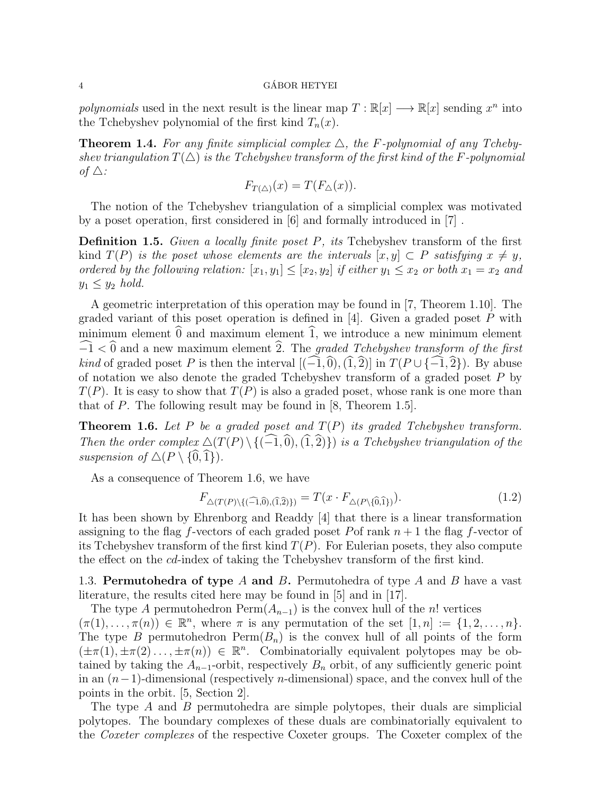polynomials used in the next result is the linear map  $T : \mathbb{R}[x] \longrightarrow \mathbb{R}[x]$  sending  $x^n$  into the Tchebyshev polynomial of the first kind  $T_n(x)$ .

**Theorem 1.4.** For any finite simplicial complex  $\triangle$ , the F-polynomial of any Tchebyshev triangulation  $T(\Delta)$  is the Tchebyshev transform of the first kind of the F-polynomial of  $\triangle$ :

$$
F_{T(\triangle)}(x) = T(F_{\triangle}(x)).
$$

The notion of the Tchebyshev triangulation of a simplicial complex was motivated by a poset operation, first considered in [6] and formally introduced in [7] .

**Definition 1.5.** Given a locally finite poset  $P$ , its Tchebyshev transform of the first kind  $T(P)$  is the poset whose elements are the intervals  $[x, y] \subset P$  satisfying  $x \neq y$ , ordered by the following relation:  $[x_1, y_1] \leq [x_2, y_2]$  if either  $y_1 \leq x_2$  or both  $x_1 = x_2$  and  $y_1 \leq y_2$  hold.

A geometric interpretation of this operation may be found in [7, Theorem 1.10]. The graded variant of this poset operation is defined in  $[4]$ . Given a graded poset P with minimum element  $\hat{0}$  and maximum element  $\hat{1}$ , we introduce a new minimum element  $-\widehat{1}$  < 0 and a new maximum element  $\widehat{2}$ . The graded Tchebyshev transform of the first *kind* of graded poset P is then the interval  $[(-1,0), (1,2)]$  in  $T(P \cup \{-1,2\})$ . By abuse of notation we also denote the graded Tchebyshev transform of a graded poset P by  $T(P)$ . It is easy to show that  $T(P)$  is also a graded poset, whose rank is one more than that of P. The following result may be found in [8, Theorem 1.5].

**Theorem 1.6.** Let P be a graded poset and  $T(P)$  its graded Tchebyshev transform. Then the order complex  $\Delta(T(P) \setminus \{(-1,0), (1,2)\})$  is a Tchebyshev triangulation of the suspension of  $\Delta(P \setminus {\widehat{0}, \widehat{1}}).$ 

As a consequence of Theorem 1.6, we have

$$
F_{\Delta(T(P)\setminus\{(\widehat{-1},\widehat{0}),(\widehat{1},\widehat{2})\})} = T(x \cdot F_{\Delta(P\setminus\{\widehat{0},\widehat{1}\})}).
$$
\n(1.2)

It has been shown by Ehrenborg and Readdy [4] that there is a linear transformation assigning to the flag f-vectors of each graded poset Pof rank  $n + 1$  the flag f-vector of its Tchebyshev transform of the first kind  $T(P)$ . For Eulerian posets, they also compute the effect on the cd-index of taking the Tchebyshev transform of the first kind.

1.3. **Permutohedra of type** A and B. Permutohedra of type A and B have a vast literature, the results cited here may be found in [5] and in [17].

The type A permutohedron  $\text{Perm}(A_{n-1})$  is the convex hull of the n! vertices  $(\pi(1),\ldots,\pi(n)) \in \mathbb{R}^n$ , where  $\pi$  is any permutation of the set  $[1,n] := \{1,2,\ldots,n\}.$ 

The type B permutohedron  $\text{Perm}(B_n)$  is the convex hull of all points of the form  $(\pm \pi(1), \pm \pi(2), \ldots, \pm \pi(n)) \in \mathbb{R}^n$ . Combinatorially equivalent polytopes may be obtained by taking the  $A_{n-1}$ -orbit, respectively  $B_n$  orbit, of any sufficiently generic point in an  $(n-1)$ -dimensional (respectively *n*-dimensional) space, and the convex hull of the points in the orbit. [5, Section 2].

The type A and B permutohedra are simple polytopes, their duals are simplicial polytopes. The boundary complexes of these duals are combinatorially equivalent to the Coxeter complexes of the respective Coxeter groups. The Coxeter complex of the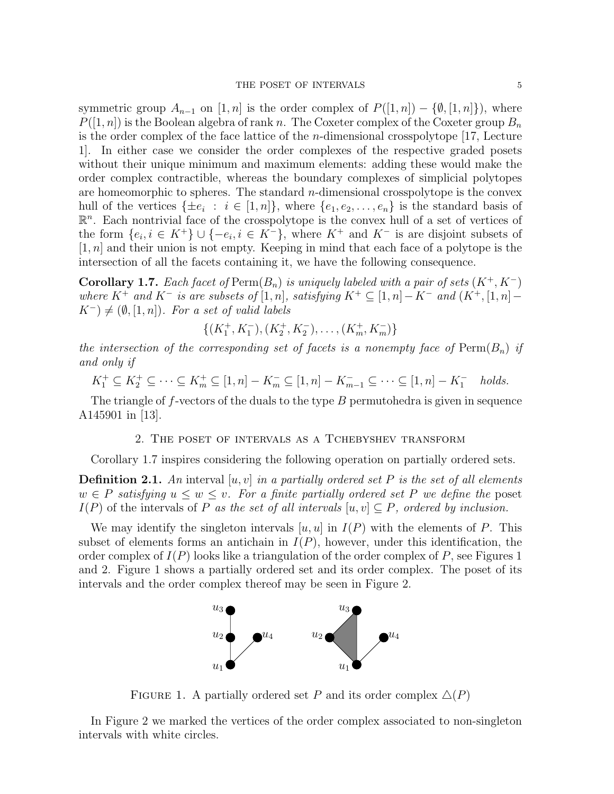symmetric group  $A_{n-1}$  on  $[1, n]$  is the order complex of  $P([1, n]) - \{\emptyset, [1, n]\}\)$ , where  $P([1,n])$  is the Boolean algebra of rank n. The Coxeter complex of the Coxeter group  $B_n$ is the order complex of the face lattice of the n-dimensional crosspolytope [17, Lecture 1]. In either case we consider the order complexes of the respective graded posets without their unique minimum and maximum elements: adding these would make the order complex contractible, whereas the boundary complexes of simplicial polytopes are homeomorphic to spheres. The standard  $n$ -dimensional crosspolytope is the convex hull of the vertices  $\{\pm e_i : i \in [1,n]\}$ , where  $\{e_1, e_2, \ldots, e_n\}$  is the standard basis of  $\mathbb{R}^n$ . Each nontrivial face of the crosspolytope is the convex hull of a set of vertices of the form  $\{e_i, i \in K^+\} \cup \{-e_i, i \in K^-\}$ , where  $K^+$  and  $K^-$  is are disjoint subsets of  $[1, n]$  and their union is not empty. Keeping in mind that each face of a polytope is the intersection of all the facets containing it, we have the following consequence.

**Corollary 1.7.** Each facet of Perm $(B_n)$  is uniquely labeled with a pair of sets  $(K^+, K^-)$ where K<sup>+</sup> and K<sup>-</sup> is are subsets of [1, n], satisfying  $K^+ \subseteq [1, n] - K^-$  and  $(K^+, [1, n] K^-$ )  $\neq$  ( $\emptyset$ , [1, n]). For a set of valid labels

$$
\{(K_1^+, K_1^-), (K_2^+, K_2^-), \dots, (K_m^+, K_m^-)\}
$$

the intersection of the corresponding set of facets is a nonempty face of  $\text{Perm}(B_n)$  if and only if

$$
K_1^+ \subseteq K_2^+ \subseteq \cdots \subseteq K_m^+ \subseteq [1, n] - K_m^- \subseteq [1, n] - K_{m-1}^- \subseteq \cdots \subseteq [1, n] - K_1^-
$$
 holds.

The triangle of f-vectors of the duals to the type  $B$  permutohedra is given in sequence A145901 in [13].

### 2. The poset of intervals as a Tchebyshev transform

Corollary 1.7 inspires considering the following operation on partially ordered sets.

**Definition 2.1.** An interval  $[u, v]$  in a partially ordered set P is the set of all elements  $w \in P$  satisfying  $u \leq w \leq v$ . For a finite partially ordered set P we define the poset  $I(P)$  of the intervals of P as the set of all intervals  $[u, v] \subseteq P$ , ordered by inclusion.

We may identify the singleton intervals  $[u, u]$  in  $I(P)$  with the elements of P. This subset of elements forms an antichain in  $I(P)$ , however, under this identification, the order complex of  $I(P)$  looks like a triangulation of the order complex of P, see Figures 1 and 2. Figure 1 shows a partially ordered set and its order complex. The poset of its intervals and the order complex thereof may be seen in Figure 2.



FIGURE 1. A partially ordered set P and its order complex  $\Delta(P)$ 

In Figure 2 we marked the vertices of the order complex associated to non-singleton intervals with white circles.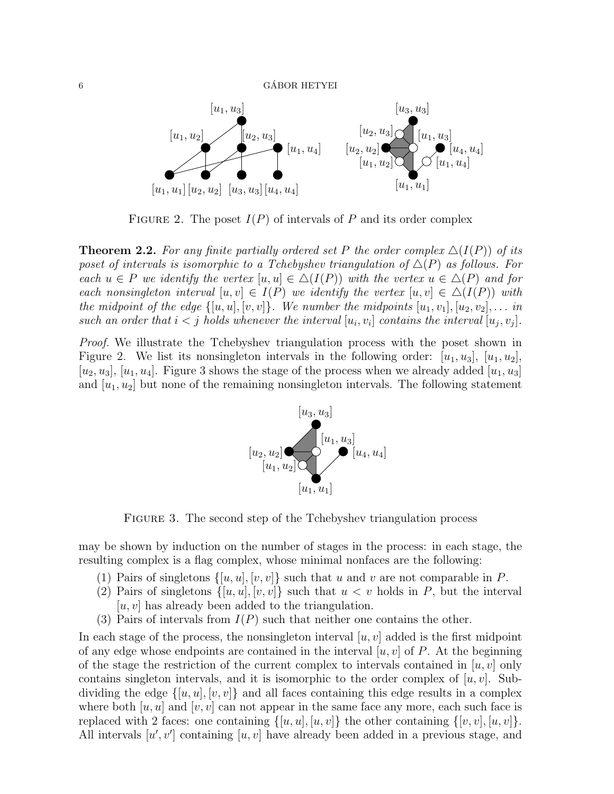

FIGURE 2. The poset  $I(P)$  of intervals of P and its order complex

**Theorem 2.2.** For any finite partially ordered set P the order complex  $\Delta(I(P))$  of its poset of intervals is isomorphic to a Tchebyshev triangulation of  $\Delta(P)$  as follows. For each  $u \in P$  we identify the vertex  $[u, u] \in \Delta(I(P))$  with the vertex  $u \in \Delta(P)$  and for each nonsingleton interval  $[u, v] \in I(P)$  we identify the vertex  $[u, v] \in \Delta(I(P))$  with the midpoint of the edge  $\{[u, u], [v, v]\}$ . We number the midpoints  $[u_1, v_1], [u_2, v_2], \ldots$  in such an order that  $i < j$  holds whenever the interval  $[u_i, v_i]$  contains the interval  $[u_j, v_j]$ .

Proof. We illustrate the Tchebyshev triangulation process with the poset shown in Figure 2. We list its nonsingleton intervals in the following order:  $[u_1, u_3], [u_1, u_2]$ , [ $u_2, u_3$ ], [ $u_1, u_4$ ]. Figure 3 shows the stage of the process when we already added [ $u_1, u_3$ ] and  $[u_1, u_2]$  but none of the remaining nonsingleton intervals. The following statement



FIGURE 3. The second step of the Tchebyshev triangulation process

may be shown by induction on the number of stages in the process: in each stage, the resulting complex is a flag complex, whose minimal nonfaces are the following:

- (1) Pairs of singletons  $\{[u, u], [v, v]\}$  such that u and v are not comparable in P.
- (2) Pairs of singletons  $\{[u, u], [v, v]\}$  such that  $u < v$  holds in P, but the interval  $[u, v]$  has already been added to the triangulation.
- (3) Pairs of intervals from  $I(P)$  such that neither one contains the other.

In each stage of the process, the nonsingleton interval  $[u, v]$  added is the first midpoint of any edge whose endpoints are contained in the interval  $[u, v]$  of P. At the beginning of the stage the restriction of the current complex to intervals contained in  $[u, v]$  only contains singleton intervals, and it is isomorphic to the order complex of  $[u, v]$ . Subdividing the edge  $\{[u, u], [v, v]\}$  and all faces containing this edge results in a complex where both  $[u, u]$  and  $[v, v]$  can not appear in the same face any more, each such face is replaced with 2 faces: one containing  $\{[u, u], [u, v]\}$  the other containing  $\{[v, v], [u, v]\}$ . All intervals  $[u, v']$  containing  $[u, v]$  have already been added in a previous stage, and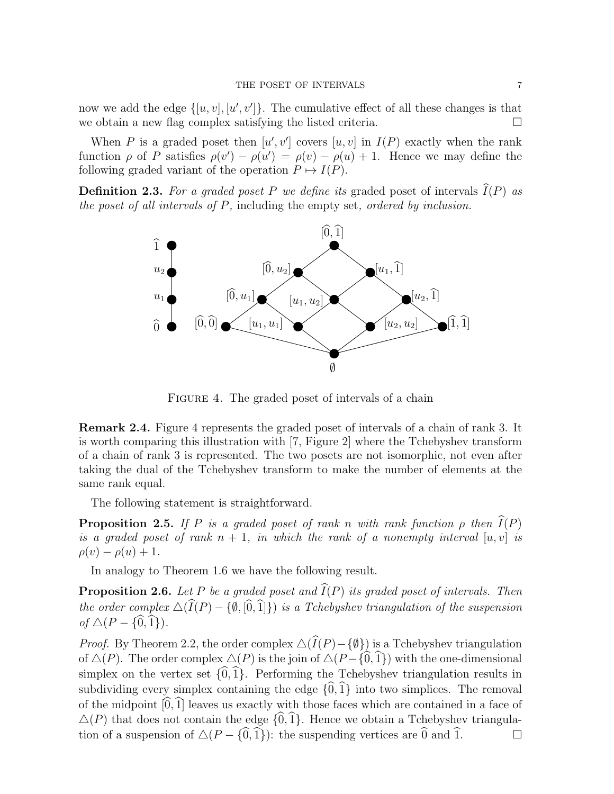now we add the edge  $\{[u, v], [u', v']\}$ . The cumulative effect of all these changes is that we obtain a new flag complex satisfying the listed criteria.

When P is a graded poset then  $[u', v']$  covers  $[u, v]$  in  $I(P)$  exactly when the rank function  $\rho$  of P satisfies  $\rho(v') - \rho(u') = \rho(v) - \rho(u) + 1$ . Hence we may define the following graded variant of the operation  $P \mapsto I(P)$ .

**Definition 2.3.** For a graded poset P we define its graded poset of intervals  $I(P)$  as the poset of all intervals of P, including the empty set, ordered by inclusion.



FIGURE 4. The graded poset of intervals of a chain

Remark 2.4. Figure 4 represents the graded poset of intervals of a chain of rank 3. It is worth comparing this illustration with [7, Figure 2] where the Tchebyshev transform of a chain of rank 3 is represented. The two posets are not isomorphic, not even after taking the dual of the Tchebyshev transform to make the number of elements at the same rank equal.

The following statement is straightforward.

**Proposition 2.5.** If P is a graded poset of rank n with rank function  $\rho$  then  $\widehat{I}(P)$ is a graded poset of rank  $n + 1$ , in which the rank of a nonempty interval  $[u, v]$  is  $\rho(v) - \rho(u) + 1.$ 

In analogy to Theorem 1.6 we have the following result.

**Proposition 2.6.** Let P be a graded poset and  $\widehat{I}(P)$  its graded poset of intervals. Then the order complex  $\Delta(\widehat{I}(P) - \{\emptyset, [\widehat{0},1]\})$  is a Tchebyshev triangulation of the suspension of  $\Delta(P - \{\hat{0}, \hat{1}\}).$ 

*Proof.* By Theorem 2.2, the order complex  $\Delta(\widehat{I}(P)-\{\emptyset\})$  is a Tchebyshev triangulation of  $\Delta(P)$ . The order complex  $\Delta(P)$  is the join of  $\Delta(P - {\widehat{0}, \widehat{1}})$  with the one-dimensional simplex on the vertex set  $\{\widehat{0},\widehat{1}\}$ . Performing the Tchebyshev triangulation results in subdividing every simplex containing the edge  $\{0,1\}$  into two simplices. The removal of the midpoint  $[0,\hat{1}]$  leaves us exactly with those faces which are contained in a face of  $\Delta(P)$  that does not contain the edge  $\{\widehat{0},\widehat{1}\}\$ . Hence we obtain a Tchebyshev triangulation of a suspension of  $\Delta(P - \{\widehat{0},\widehat{1}\})$ : the suspending vertices are  $\widehat{0}$  and  $\widehat{1}$ . tion of a suspension of  $\Delta(P - \{\hat{0},\hat{1}\})$ : the suspending vertices are  $\hat{0}$  and  $\hat{1}$ .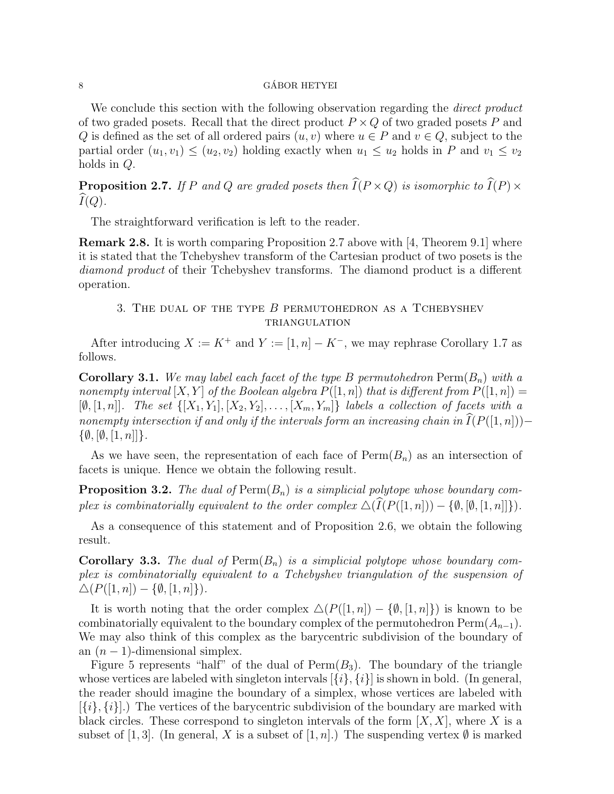#### $\alpha$  GÁBOR HETYEI

We conclude this section with the following observation regarding the *direct product* of two graded posets. Recall that the direct product  $P \times Q$  of two graded posets P and Q is defined as the set of all ordered pairs  $(u, v)$  where  $u \in P$  and  $v \in Q$ , subject to the partial order  $(u_1, v_1) \leq (u_2, v_2)$  holding exactly when  $u_1 \leq u_2$  holds in P and  $v_1 \leq v_2$ holds in Q.

**Proposition 2.7.** If P and Q are graded posets then  $\widehat{I}(P \times Q)$  is isomorphic to  $\widehat{I}(P) \times \widehat{I}(P)$  $\widehat{I}(Q)$ .

The straightforward verification is left to the reader.

Remark 2.8. It is worth comparing Proposition 2.7 above with [4, Theorem 9.1] where it is stated that the Tchebyshev transform of the Cartesian product of two posets is the diamond product of their Tchebyshev transforms. The diamond product is a different operation.

## 3. The dual of the type B permutohedron as a Tchebyshev **TRIANGULATION**

After introducing  $X := K^+$  and  $Y := [1, n] - K^-$ , we may rephrase Corollary 1.7 as follows.

**Corollary 3.1.** We may label each facet of the type B permutohedron  $\text{Perm}(B_n)$  with a nonempty interval  $[X, Y]$  of the Boolean algebra  $P([1, n])$  that is different from  $P([1, n]) =$  $[\emptyset, [1, n]]$ . The set  $\{[X_1, Y_1], [X_2, Y_2], \ldots, [X_m, Y_m]\}$  labels a collection of facets with a nonempty intersection if and only if the intervals form an increasing chain in  $\widehat{I}(P([1,n])) \{\emptyset, [\emptyset, [1, n]]\}.$ 

As we have seen, the representation of each face of  $\text{Perm}(B_n)$  as an intersection of facets is unique. Hence we obtain the following result.

**Proposition 3.2.** The dual of  $\text{Perm}(B_n)$  is a simplicial polytope whose boundary complex is combinatorially equivalent to the order complex  $\Delta(\widehat{I}(P([1, n])) - \{\emptyset, [\emptyset, [1, n]]\})$ .

As a consequence of this statement and of Proposition 2.6, we obtain the following result.

**Corollary 3.3.** The dual of  $\text{Perm}(B_n)$  is a simplicial polytope whose boundary complex is combinatorially equivalent to a Tchebyshev triangulation of the suspension of  $\Delta(P([1, n]) - \{\emptyset, [1, n]\}).$ 

It is worth noting that the order complex  $\Delta(P([1, n]) - \{0, [1, n]\})$  is known to be combinatorially equivalent to the boundary complex of the permutohedron  $\text{Perm}(A_{n-1})$ . We may also think of this complex as the barycentric subdivision of the boundary of an  $(n-1)$ -dimensional simplex.

Figure 5 represents "half" of the dual of  $Perm(B_3)$ . The boundary of the triangle whose vertices are labeled with singleton intervals  $[\{i\}, \{i\}]$  is shown in bold. (In general, the reader should imagine the boundary of a simplex, whose vertices are labeled with  $[\{i\}, \{i\}].$  The vertices of the barycentric subdivision of the boundary are marked with black circles. These correspond to singleton intervals of the form  $[X, X]$ , where X is a subset of [1, 3]. (In general, X is a subset of [1, n].) The suspending vertex  $\emptyset$  is marked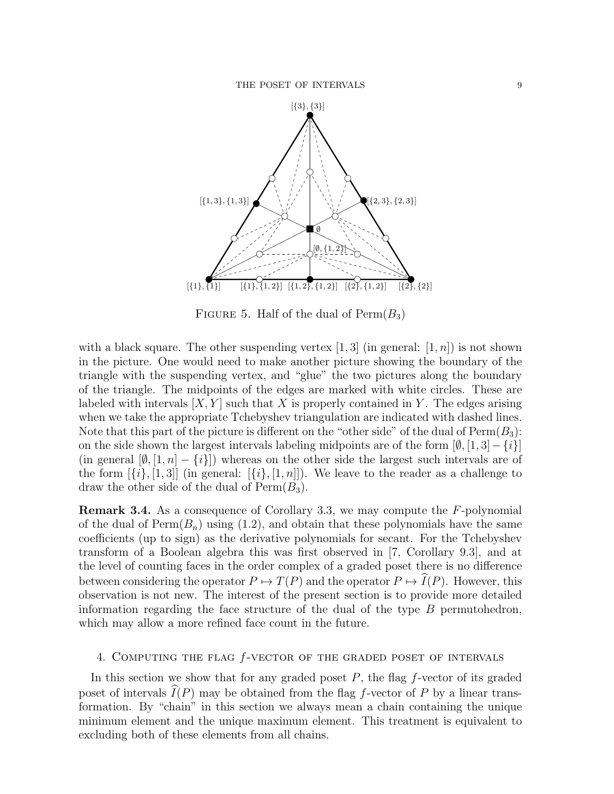

FIGURE 5. Half of the dual of  $\text{Perm}(B_3)$ 

with a black square. The other suspending vertex  $[1, 3]$  (in general:  $[1, n]$ ) is not shown in the picture. One would need to make another picture showing the boundary of the triangle with the suspending vertex, and "glue" the two pictures along the boundary of the triangle. The midpoints of the edges are marked with white circles. These are labeled with intervals  $[X, Y]$  such that X is properly contained in Y. The edges arising when we take the appropriate Tchebyshev triangulation are indicated with dashed lines. Note that this part of the picture is different on the "other side" of the dual of  $\text{Perm}(B_3)$ : on the side shown the largest intervals labeling midpoints are of the form  $[\emptyset, [1, 3] - \{i\}]$ (in general  $[\emptyset, [1, n] - \{i\}]$ ) whereas on the other side the largest such intervals are of the form  $[\{i\}, [1,3]]$  (in general:  $[\{i\}, [1,n]]$ ). We leave to the reader as a challenge to draw the other side of the dual of  $\mathrm{Perm}(B_3)$ .

Remark 3.4. As a consequence of Corollary 3.3, we may compute the F-polynomial of the dual of  $Perm(B_n)$  using (1.2), and obtain that these polynomials have the same coefficients (up to sign) as the derivative polynomials for secant. For the Tchebyshev transform of a Boolean algebra this was first observed in [7, Corollary 9.3], and at the level of counting faces in the order complex of a graded poset there is no difference between considering the operator  $P \mapsto T(P)$  and the operator  $P \mapsto \widehat{I}(P)$ . However, this observation is not new. The interest of the present section is to provide more detailed information regarding the face structure of the dual of the type  $B$  permutohedron, which may allow a more refined face count in the future.

## 4. Computing the flag f-vector of the graded poset of intervals

In this section we show that for any graded poset  $P$ , the flag f-vector of its graded poset of intervals  $I(P)$  may be obtained from the flag f-vector of P by a linear transformation. By "chain" in this section we always mean a chain containing the unique minimum element and the unique maximum element. This treatment is equivalent to excluding both of these elements from all chains.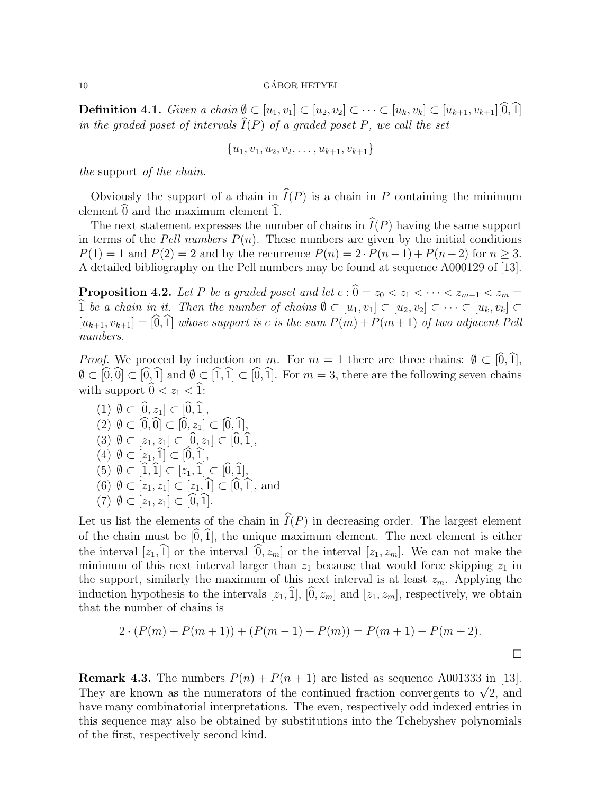**Definition 4.1.** Given a chain  $\emptyset \subset [u_1, v_1] \subset [u_2, v_2] \subset \cdots \subset [u_k, v_k] \subset [u_{k+1}, v_{k+1}][\widehat{0}, \widehat{1}]$ in the graded poset of intervals  $\widehat{I}(P)$  of a graded poset P, we call the set

$$
\{u_1, v_1, u_2, v_2, \ldots, u_{k+1}, v_{k+1}\}\
$$

the support of the chain.

Obviously the support of a chain in  $\widehat{I}(P)$  is a chain in P containing the minimum element  $\widehat{0}$  and the maximum element  $\widehat{1}$ .

The next statement expresses the number of chains in  $\widehat{I}(P)$  having the same support in terms of the Pell numbers  $P(n)$ . These numbers are given by the initial conditions  $P(1) = 1$  and  $P(2) = 2$  and by the recurrence  $P(n) = 2 \cdot P(n-1) + P(n-2)$  for  $n \ge 3$ . A detailed bibliography on the Pell numbers may be found at sequence A000129 of [13].

**Proposition 4.2.** Let P be a graded poset and let  $c : \hat{0} = z_0 < z_1 < \cdots < z_{m-1} < z_m =$  $\widehat{1}$  be a chain in it. Then the number of chains  $\emptyset \subset [u_1, v_1] \subset [u_2, v_2] \subset \cdots \subset [u_k, v_k] \subset$  $[u_{k+1}, v_{k+1}] = [\widehat{0}, \widehat{1}]$  whose support is c is the sum  $P(m) + P(m + 1)$  of two adjacent Pell numbers.

*Proof.* We proceed by induction on m. For  $m = 1$  there are three chains:  $\emptyset \subset [\widehat{0},\widehat{1}],$  $\emptyset \subset [0,\hat{0}] \subset [0,\hat{1}]$  and  $\emptyset \subset [\hat{1},\hat{1}] \subset [0,\hat{1}]$ . For  $m = 3$ , there are the following seven chains with support  $\widehat{0} < z_1 < \widehat{1}$ :

(1) 
$$
\emptyset \subset [0, z_1] \subset [0, 1],
$$
  
\n(2)  $\emptyset \subset [\widehat{0}, \widehat{0}] \subset [\widehat{0}, z_1] \subset [\widehat{0}, \widehat{1}],$   
\n(3)  $\emptyset \subset [z_1, z_1] \subset [\widehat{0}, z_1] \subset [\widehat{0}, \widehat{1}],$   
\n(4)  $\emptyset \subset [z_1, \widehat{1}] \subset [\widehat{0}, \widehat{1}],$   
\n(5)  $\emptyset \subset [\widehat{1}, \widehat{1}] \subset [z_1, \widehat{1}] \subset [\widehat{0}, \widehat{1}],$   
\n(6)  $\emptyset \subset [z_1, z_1] \subset [z_1, \widehat{1}] \subset [\widehat{0}, \widehat{1}],$  and  
\n(7)  $\emptyset \subset [z_1, z_1] \subset [\widehat{0}, \widehat{1}].$ 

Let us list the elements of the chain in  $\widehat{I}(P)$  in decreasing order. The largest element of the chain must be  $[0,1]$ , the unique maximum element. The next element is either the interval  $[z_1,\hat{1}]$  or the interval  $[\hat{0}, z_m]$  or the interval  $[z_1, z_m]$ . We can not make the minimum of this next interval larger than  $z_1$  because that would force skipping  $z_1$  in the support, similarly the maximum of this next interval is at least  $z_m$ . Applying the induction hypothesis to the intervals  $[z_1,\hat{1}], [\hat{0}, z_m]$  and  $[z_1, z_m]$ , respectively, we obtain that the number of chains is

$$
2 \cdot (P(m) + P(m+1)) + (P(m-1) + P(m)) = P(m+1) + P(m+2).
$$

**Remark 4.3.** The numbers  $P(n) + P(n + 1)$  are listed as sequence A001333 in [13]. **Remark 4.3.** The numbers  $P(n) + P(n + 1)$  are fisted as sequence A001333 in [13].<br>They are known as the numerators of the continued fraction convergents to  $\sqrt{2}$ , and have many combinatorial interpretations. The even, respectively odd indexed entries in this sequence may also be obtained by substitutions into the Tchebyshev polynomials of the first, respectively second kind.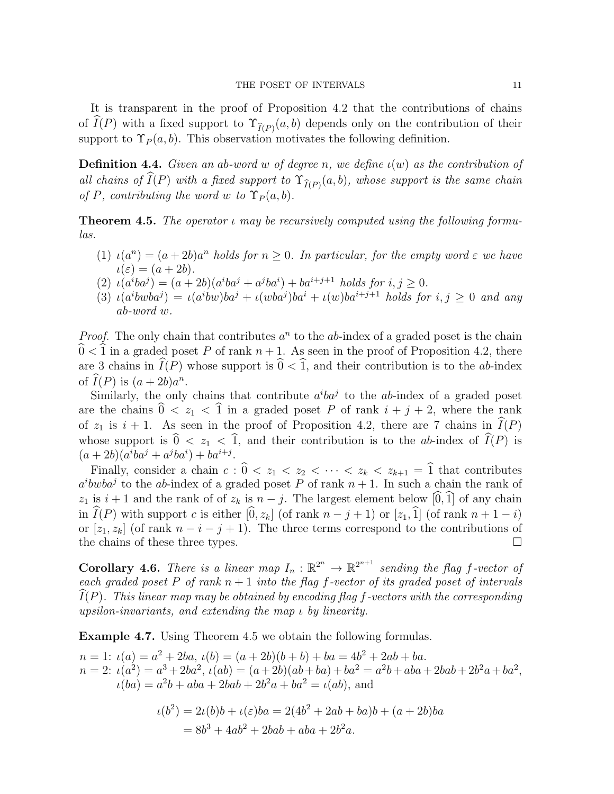It is transparent in the proof of Proposition 4.2 that the contributions of chains of  $I(P)$  with a fixed support to  $\Upsilon_{\hat{I}(P)}(a, b)$  depends only on the contribution of their support to  $\Upsilon_P(a, b)$ . This observation motivates the following definition.

**Definition 4.4.** Given an ab-word w of degree n, we define  $\iota(w)$  as the contribution of all chains of  $I(P)$  with a fixed support to  $\Upsilon_{\widehat{I}(P)}(a, b)$ , whose support is the same chain of P, contributing the word w to  $\Upsilon_P(a, b)$ .

**Theorem 4.5.** The operator  $\iota$  may be recursively computed using the following formulas.

- (1)  $\iota(a^n) = (a+2b)a^n$  holds for  $n \geq 0$ . In particular, for the empty word  $\varepsilon$  we have  $\iota(\varepsilon) = (a+2b).$
- (2)  $\iota(a^iba^j) = (a+2b)(a^iba^j + a^jba^i) + ba^{i+j+1}$  holds for  $i, j \ge 0$ .
- (3)  $\iota(a^i b w b a^j) = \iota(a^i b w) b a^j + \iota(w b a^j) b a^i + \iota(w) b a^{i+j+1}$  holds for  $i, j \geq 0$  and any ab-word w.

*Proof.* The only chain that contributes  $a^n$  to the ab-index of a graded poset is the chain  $\hat{0} < \hat{1}$  in a graded poset P of rank  $n + 1$ . As seen in the proof of Proposition 4.2, there are 3 chains in  $\widehat{I}(P)$  whose support is  $\widehat{0} < \widehat{1}$ , and their contribution is to the ab-index of  $\widehat{I}(P)$  is  $(a+2b)a^n$ .

Similarly, the only chains that contribute  $a^i b a^j$  to the ab-index of a graded poset are the chains  $\hat{0} < z_1 < \hat{1}$  in a graded poset P of rank  $i + j + 2$ , where the rank of  $z_1$  is  $i + 1$ . As seen in the proof of Proposition 4.2, there are 7 chains in  $\widehat{I}(P)$ whose support is  $\hat{0} < z_1 < \hat{1}$ , and their contribution is to the ab-index of  $\hat{I}(P)$  is  $(a + 2b)(a^iba^j + a^jba^i) + ba^{i+j}.$ 

Finally, consider a chain  $c : \hat{0} < z_1 < z_2 < \cdots < z_k < z_{k+1} = \hat{1}$  that contributes  $a^i b w b a^j$  to the ab-index of a graded poset P of rank  $n + 1$ . In such a chain the rank of  $z_1$  is  $i + 1$  and the rank of of  $z_k$  is  $n - j$ . The largest element below  $[\widehat{0}, \widehat{1}]$  of any chain in  $\widehat{I}(P)$  with support c is either  $[\widehat{0}, z_k]$  (of rank  $n - j + 1$ ) or  $[z_1, \widehat{1}]$  (of rank  $n + 1 - i$ ) or  $[z_1, z_k]$  (of rank  $n - i - j + 1$ ). The three terms correspond to the contributions of the chains of these three types.  $\Box$ 

**Corollary 4.6.** There is a linear map  $I_n : \mathbb{R}^{2^n} \to \mathbb{R}^{2^{n+1}}$  sending the flag f-vector of each graded poset P of rank  $n + 1$  into the flag f-vector of its graded poset of intervals  $I(P)$ . This linear map may be obtained by encoding flag f-vectors with the corresponding upsilon-invariants, and extending the map ι by linearity.

Example 4.7. Using Theorem 4.5 we obtain the following formulas.

 $n = 1: \iota(a) = a^2 + 2ba, \iota(b) = (a + 2b)(b + b) + ba = 4b^2 + 2ab + ba.$  $n = 2$ :  $\iota(a^2) = a^3 + 2ba^2$ ,  $\iota(ab) = (a + 2b)(ab + ba) + ba^2 = a^2b + aba + 2bab + 2b^2a + ba^2$ ,  $\iota(ba) = a^2b + aba + 2bab + 2b^2a + ba^2 = \iota(ab)$ , and

$$
\iota(b^2) = 2\iota(b)b + \iota(\varepsilon)ba = 2(4b^2 + 2ab + ba)b + (a + 2b)ba
$$
  
=  $8b^3 + 4ab^2 + 2bab + aba + 2b^2a$ .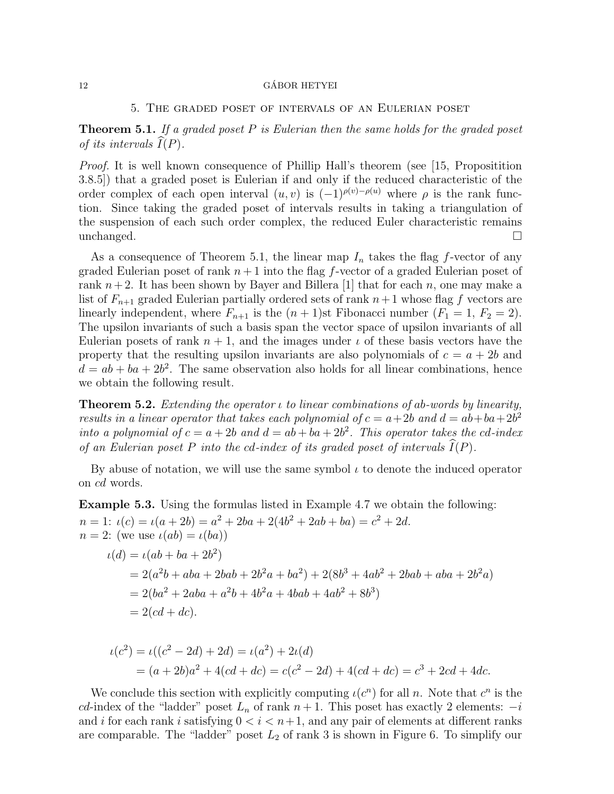#### 5. The graded poset of intervals of an Eulerian poset

**Theorem 5.1.** If a graded poset  $P$  is Eulerian then the same holds for the graded poset of its intervals  $\widehat{I}(P)$ .

Proof. It is well known consequence of Phillip Hall's theorem (see [15, Propositition 3.8.5]) that a graded poset is Eulerian if and only if the reduced characteristic of the order complex of each open interval  $(u, v)$  is  $(-1)^{\rho(v)-\rho(u)}$  where  $\rho$  is the rank function. Since taking the graded poset of intervals results in taking a triangulation of the suspension of each such order complex, the reduced Euler characteristic remains  $unchanged.$ 

As a consequence of Theorem 5.1, the linear map  $I_n$  takes the flag f-vector of any graded Eulerian poset of rank  $n+1$  into the flag f-vector of a graded Eulerian poset of rank  $n+2$ . It has been shown by Bayer and Billera [1] that for each n, one may make a list of  $F_{n+1}$  graded Eulerian partially ordered sets of rank  $n+1$  whose flag f vectors are linearly independent, where  $F_{n+1}$  is the  $(n + 1)$ st Fibonacci number  $(F_1 = 1, F_2 = 2)$ . The upsilon invariants of such a basis span the vector space of upsilon invariants of all Eulerian posets of rank  $n + 1$ , and the images under  $\iota$  of these basis vectors have the property that the resulting upsilon invariants are also polynomials of  $c = a + 2b$  and  $d = ab + ba + 2b^2$ . The same observation also holds for all linear combinations, hence we obtain the following result.

**Theorem 5.2.** Extending the operator  $\iota$  to linear combinations of ab-words by linearity, results in a linear operator that takes each polynomial of  $c = a + 2b$  and  $d = ab + ba + 2b^2$ into a polynomial of  $c = a + 2b$  and  $d = ab + ba + 2b^2$ . This operator takes the cd-index of an Eulerian poset P into the cd-index of its graded poset of intervals  $\widehat{I}(P)$ .

By abuse of notation, we will use the same symbol  $\iota$  to denote the induced operator on cd words.

Example 5.3. Using the formulas listed in Example 4.7 we obtain the following:  $n = 1: \iota(c) = \iota(a + 2b) = a^2 + 2ba + 2(4b^2 + 2ab + ba) = c^2 + 2d.$  $n = 2$ : (we use  $\iota(ab) = \iota(ba)$ )  $\iota(d) = \iota(ab + ba + 2b^2)$  $= 2(a^2b + aba + 2bab + 2b^2a + ba^2) + 2(8b^3 + 4ab^2 + 2bab + aba + 2b^2a)$  $= 2(ba^2 + 2aba + a^2b + 4b^2a + 4bab + 4ab^2 + 8b^3)$ 

$$
= 2(cd + dc).
$$

$$
\iota(c^2) = \iota((c^2 - 2d) + 2d) = \iota(a^2) + 2\iota(d)
$$
  
=  $(a + 2b)a^2 + 4(cd + dc) = c(c^2 - 2d) + 4(cd + dc) = c^3 + 2cd + 4dc.$ 

We conclude this section with explicitly computing  $\iota(c^n)$  for all n. Note that  $c^n$  is the cd-index of the "ladder" poset  $L_n$  of rank  $n + 1$ . This poset has exactly 2 elements:  $-i$ and i for each rank i satisfying  $0 < i < n+1$ , and any pair of elements at different ranks are comparable. The "ladder" poset  $L_2$  of rank 3 is shown in Figure 6. To simplify our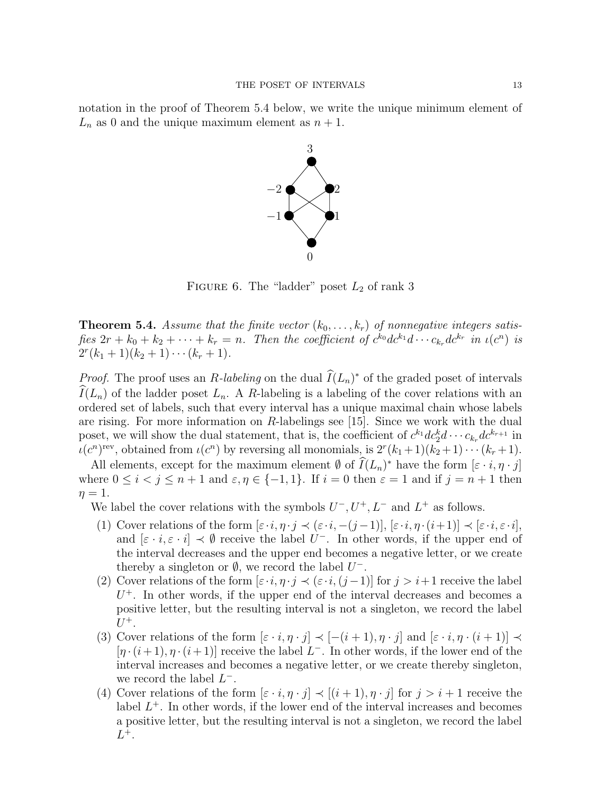notation in the proof of Theorem 5.4 below, we write the unique minimum element of  $L_n$  as 0 and the unique maximum element as  $n + 1$ .



FIGURE 6. The "ladder" poset  $L_2$  of rank 3

**Theorem 5.4.** Assume that the finite vector  $(k_0, \ldots, k_r)$  of nonnegative integers satisfies  $2r + k_0 + k_2 + \cdots + k_r = n$ . Then the coefficient of  $c^{k_0}dc^{k_1}d\cdots c_{k_r}dc^{k_r}$  in  $\iota(c^n)$  is  $2^r(k_1+1)(k_2+1)\cdots(k_r+1).$ 

*Proof.* The proof uses an R-labeling on the dual  $\widehat{I}(L_n)^*$  of the graded poset of intervals  $\widehat{I}(L_n)$  of the ladder poset  $L_n$ . A R-labeling is a labeling of the cover relations with an ordered set of labels, such that every interval has a unique maximal chain whose labels are rising. For more information on R-labelings see [15]. Since we work with the dual poset, we will show the dual statement, that is, the coefficient of  $c^{k_1}dc_2^k d \cdots c_{k_r}dc^{k_{r+1}}$  in  $\iota(c^n)^{\text{rev}}$ , obtained from  $\iota(c^n)$  by reversing all monomials, is  $2^r(k_1+1)(k_2+1)\cdots(k_r+1)$ .

All elements, except for the maximum element  $\emptyset$  of  $\widehat{I}(L_n)^*$  have the form  $[\varepsilon \cdot i, \eta \cdot j]$ where  $0 \le i < j \le n+1$  and  $\varepsilon, \eta \in \{-1, 1\}$ . If  $i = 0$  then  $\varepsilon = 1$  and if  $j = n+1$  then  $\eta=1$ .

We label the cover relations with the symbols  $U^-, U^+, L^-$  and  $L^+$  as follows.

- (1) Cover relations of the form  $[\varepsilon \cdot i, \eta \cdot j \prec (\varepsilon \cdot i, -(j-1)], [\varepsilon \cdot i, \eta \cdot (i+1)] \prec [\varepsilon \cdot i, \varepsilon \cdot i],$ and  $[\varepsilon \cdot i, \varepsilon \cdot i] \prec \emptyset$  receive the label  $U^-$ . In other words, if the upper end of the interval decreases and the upper end becomes a negative letter, or we create thereby a singleton or  $\emptyset$ , we record the label  $U^-$ .
- (2) Cover relations of the form  $[\varepsilon \cdot i, \eta \cdot j \prec (\varepsilon \cdot i, (j-1)]$  for  $j > i+1$  receive the label  $U^+$ . In other words, if the upper end of the interval decreases and becomes a positive letter, but the resulting interval is not a singleton, we record the label  $U^+$ .
- (3) Cover relations of the form  $[\varepsilon \cdot i, \eta \cdot j] \prec [-(i+1), \eta \cdot j]$  and  $[\varepsilon \cdot i, \eta \cdot (i+1)] \prec$  $[\eta \cdot (i+1), \eta \cdot (i+1)]$  receive the label  $L^-$ . In other words, if the lower end of the interval increases and becomes a negative letter, or we create thereby singleton, we record the label  $L^-$ .
- (4) Cover relations of the form  $[\varepsilon \cdot i, \eta \cdot j] \prec [(i+1), \eta \cdot j]$  for  $j > i+1$  receive the label  $L^+$ . In other words, if the lower end of the interval increases and becomes a positive letter, but the resulting interval is not a singleton, we record the label  $L^+$ .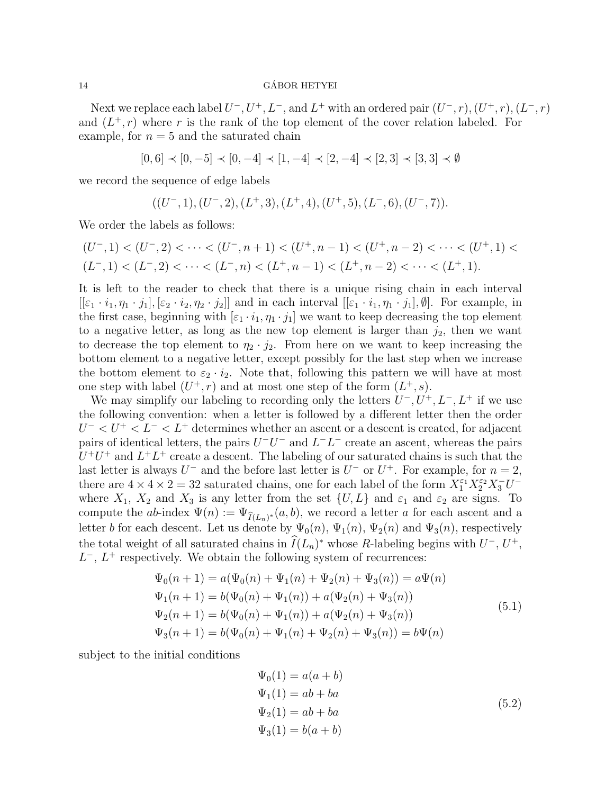Next we replace each label  $U^-, U^+, L^-,$  and  $L^+$  with an ordered pair  $(U^-, r), (U^+, r), (L^-, r)$ and  $(L^+, r)$  where r is the rank of the top element of the cover relation labeled. For example, for  $n = 5$  and the saturated chain

 $[0, 6] \prec [0, -5] \prec [0, -4] \prec [1, -4] \prec [2, -4] \prec [2, 3] \prec [3, 3] \prec \emptyset$ 

we record the sequence of edge labels

$$
((U^-,1), (U^-,2), (L^+,3), (L^+,4), (U^+,5), (L^-,6), (U^-,7)).
$$

We order the labels as follows:

$$
(U^-,1) < (U^-,2) < \cdots < (U^-,n+1) < (U^+,n-1) < (U^+,n-2) < \cdots < (U^+,1) < (L^-,1) < (L^-,2) < \cdots < (L^-,n) < (L^+,n-1) < (L^+,n-2) < \cdots < (L^+,1).
$$

It is left to the reader to check that there is a unique rising chain in each interval  $[[\varepsilon_1 \cdot i_1, \eta_1 \cdot j_1], [\varepsilon_2 \cdot i_2, \eta_2 \cdot j_2]]$  and in each interval  $[[\varepsilon_1 \cdot i_1, \eta_1 \cdot j_1], \emptyset]$ . For example, in the first case, beginning with  $[\varepsilon_1 \cdot i_1, \eta_1 \cdot j_1]$  we want to keep decreasing the top element to a negative letter, as long as the new top element is larger than  $j_2$ , then we want to decrease the top element to  $\eta_2 \cdot j_2$ . From here on we want to keep increasing the bottom element to a negative letter, except possibly for the last step when we increase the bottom element to  $\varepsilon_2 \cdot i_2$ . Note that, following this pattern we will have at most one step with label  $(U^+, r)$  and at most one step of the form  $(L^+, s)$ .

We may simplify our labeling to recording only the letters  $U^-, U^+, L^-, L^+$  if we use the following convention: when a letter is followed by a different letter then the order  $U^{-} < U^{+} < L^{-} < L^{+}$  determines whether an ascent or a descent is created, for adjacent pairs of identical letters, the pairs  $U^-U^-$  and  $L^-L^-$  create an ascent, whereas the pairs  $U^+U^+$  and  $L^+L^+$  create a descent. The labeling of our saturated chains is such that the last letter is always  $U^-$  and the before last letter is  $U^-$  or  $U^+$ . For example, for  $n=2$ , there are  $4 \times 4 \times 2 = 32$  saturated chains, one for each label of the form  $X_1^{\varepsilon_1} X_2^{\varepsilon_2} X_3^- U^$ where  $X_1$ ,  $X_2$  and  $X_3$  is any letter from the set  $\{U, L\}$  and  $\varepsilon_1$  and  $\varepsilon_2$  are signs. To compute the ab-index  $\Psi(n) := \Psi_{\hat{I}(L_n)^*}(a, b)$ , we record a letter a for each ascent and a letter b for each descent. Let us denote by  $\Psi_0(n)$ ,  $\Psi_1(n)$ ,  $\Psi_2(n)$  and  $\Psi_3(n)$ , respectively the total weight of all saturated chains in  $\widehat{I}(L_n)^*$  whose R-labeling begins with  $U^-, U^+,$  $L^{-}$ ,  $L^{+}$  respectively. We obtain the following system of recurrences:

$$
\Psi_0(n+1) = a(\Psi_0(n) + \Psi_1(n) + \Psi_2(n) + \Psi_3(n)) = a\Psi(n)
$$
  
\n
$$
\Psi_1(n+1) = b(\Psi_0(n) + \Psi_1(n)) + a(\Psi_2(n) + \Psi_3(n))
$$
  
\n
$$
\Psi_2(n+1) = b(\Psi_0(n) + \Psi_1(n)) + a(\Psi_2(n) + \Psi_3(n))
$$
  
\n
$$
\Psi_3(n+1) = b(\Psi_0(n) + \Psi_1(n) + \Psi_2(n) + \Psi_3(n)) = b\Psi(n)
$$
\n(5.1)

subject to the initial conditions

$$
\Psi_0(1) = a(a + b)
$$
  
\n
$$
\Psi_1(1) = ab + ba
$$
  
\n
$$
\Psi_2(1) = ab + ba
$$
  
\n
$$
\Psi_3(1) = b(a + b)
$$
\n(5.2)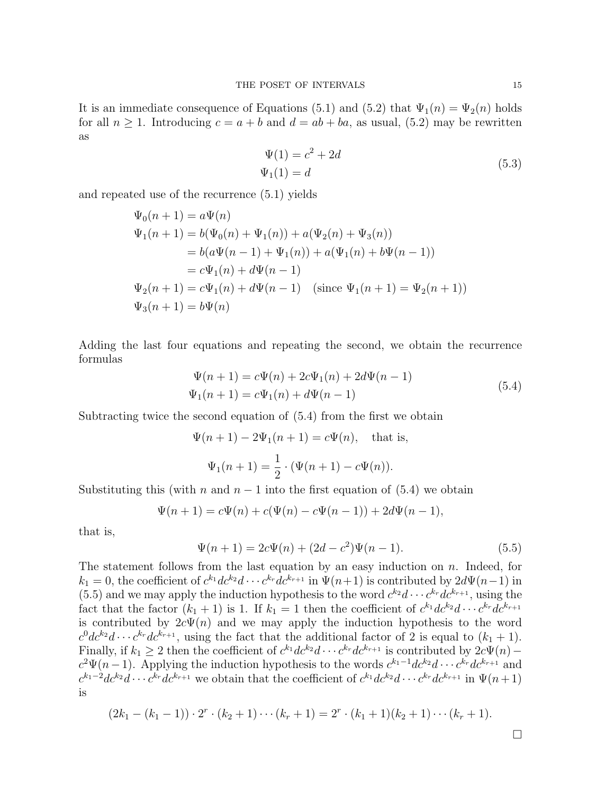It is an immediate consequence of Equations (5.1) and (5.2) that  $\Psi_1(n) = \Psi_2(n)$  holds for all  $n \geq 1$ . Introducing  $c = a + b$  and  $d = ab + ba$ , as usual, (5.2) may be rewritten as

$$
\Psi(1) = c^2 + 2d
$$
  
\n
$$
\Psi_1(1) = d
$$
\n(5.3)

and repeated use of the recurrence (5.1) yields

$$
\Psi_0(n+1) = a\Psi(n)
$$
  
\n
$$
\Psi_1(n+1) = b(\Psi_0(n) + \Psi_1(n)) + a(\Psi_2(n) + \Psi_3(n))
$$
  
\n
$$
= b(a\Psi(n-1) + \Psi_1(n)) + a(\Psi_1(n) + b\Psi(n-1))
$$
  
\n
$$
= c\Psi_1(n) + d\Psi(n-1)
$$
  
\n
$$
\Psi_2(n+1) = c\Psi_1(n) + d\Psi(n-1) \quad \text{(since } \Psi_1(n+1) = \Psi_2(n+1))
$$
  
\n
$$
\Psi_3(n+1) = b\Psi(n)
$$

Adding the last four equations and repeating the second, we obtain the recurrence formulas

$$
\Psi(n+1) = c\Psi(n) + 2c\Psi_1(n) + 2d\Psi(n-1)
$$
  
\n
$$
\Psi_1(n+1) = c\Psi_1(n) + d\Psi(n-1)
$$
\n(5.4)

Subtracting twice the second equation of (5.4) from the first we obtain

$$
\Psi(n+1) - 2\Psi_1(n+1) = c\Psi(n), \text{ that is,}
$$

$$
\Psi_1(n+1) = \frac{1}{2} \cdot (\Psi(n+1) - c\Psi(n)).
$$

Substituting this (with n and  $n-1$  into the first equation of (5.4) we obtain

$$
\Psi(n+1) = c\Psi(n) + c(\Psi(n) - c\Psi(n-1)) + 2d\Psi(n-1),
$$

that is,

$$
\Psi(n+1) = 2c\Psi(n) + (2d - c^2)\Psi(n-1).
$$
\n(5.5)

The statement follows from the last equation by an easy induction on  $n$ . Indeed, for  $k_1 = 0$ , the coefficient of  $c^{k_1}dc^{k_2}d\cdots c^{k_r}dc^{k_{r+1}}$  in  $\Psi(n+1)$  is contributed by  $2d\Psi(n-1)$  in (5.5) and we may apply the induction hypothesis to the word  $c^{k_2}d \cdots c^{k_r}dc^{k_{r+1}}$ , using the fact that the factor  $(k_1 + 1)$  is 1. If  $k_1 = 1$  then the coefficient of  $c^{k_1}dc^{k_2}d \cdots c^{k_r}dc^{k_{r+1}}$ is contributed by  $2c\Psi(n)$  and we may apply the induction hypothesis to the word  $c^0dc^{k_2}d\cdots c^{k_r}dc^{k_{r+1}}$ , using the fact that the additional factor of 2 is equal to  $(k_1+1)$ . Finally, if  $k_1 \geq 2$  then the coefficient of  $c^{k_1}dc^{k_2}d\cdots c^{k_r}dc^{k_{r+1}}$  is contributed by  $2c\Psi(n)$  –  $c^2 \Psi(n-1)$ . Applying the induction hypothesis to the words  $c^{k_1-1} dc^{k_2}d \cdots c^{k_r} dc^{k_{r+1}}$  and  $c^{k_1-2}dc^{k_2}d\cdots c^{k_r}dc^{k_{r+1}}$  we obtain that the coefficient of  $c^{k_1}dc^{k_2}d\cdots c^{k_r}dc^{k_{r+1}}$  in  $\Psi(n+1)$ is

$$
(2k_1 - (k_1 - 1)) \cdot 2^r \cdot (k_2 + 1) \cdots (k_r + 1) = 2^r \cdot (k_1 + 1)(k_2 + 1) \cdots (k_r + 1).
$$

 $\Box$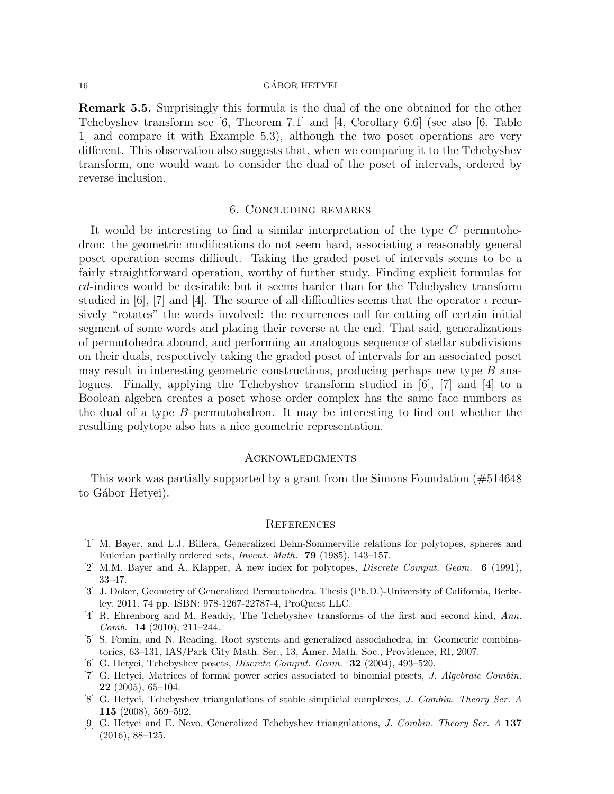Remark 5.5. Surprisingly this formula is the dual of the one obtained for the other Tchebyshev transform see [6, Theorem 7.1] and [4, Corollary 6.6] (see also [6, Table 1] and compare it with Example 5.3), although the two poset operations are very different. This observation also suggests that, when we comparing it to the Tchebyshev transform, one would want to consider the dual of the poset of intervals, ordered by reverse inclusion.

## 6. Concluding remarks

It would be interesting to find a similar interpretation of the type C permutohedron: the geometric modifications do not seem hard, associating a reasonably general poset operation seems difficult. Taking the graded poset of intervals seems to be a fairly straightforward operation, worthy of further study. Finding explicit formulas for cd-indices would be desirable but it seems harder than for the Tchebyshev transform studied in [6], [7] and [4]. The source of all difficulties seems that the operator  $\iota$  recursively "rotates" the words involved: the recurrences call for cutting off certain initial segment of some words and placing their reverse at the end. That said, generalizations of permutohedra abound, and performing an analogous sequence of stellar subdivisions on their duals, respectively taking the graded poset of intervals for an associated poset may result in interesting geometric constructions, producing perhaps new type B analogues. Finally, applying the Tchebyshev transform studied in [6], [7] and [4] to a Boolean algebra creates a poset whose order complex has the same face numbers as the dual of a type  $B$  permutohedron. It may be interesting to find out whether the resulting polytope also has a nice geometric representation.

## **ACKNOWLEDGMENTS**

This work was partially supported by a grant from the Simons Foundation (#514648 to Gábor Hetyei).

## **REFERENCES**

- [1] M. Bayer, and L.J. Billera, Generalized Dehn-Sommerville relations for polytopes, spheres and Eulerian partially ordered sets, Invent. Math. 79 (1985), 143–157.
- [2] M.M. Bayer and A. Klapper, A new index for polytopes, Discrete Comput. Geom. 6 (1991), 33–47.
- [3] J. Doker, Geometry of Generalized Permutohedra. Thesis (Ph.D.)-University of California, Berkeley. 2011. 74 pp. ISBN: 978-1267-22787-4, ProQuest LLC.
- [4] R. Ehrenborg and M. Readdy, The Tchebyshev transforms of the first and second kind, Ann. Comb. 14 (2010), 211–244.
- [5] S. Fomin, and N. Reading, Root systems and generalized associahedra, in: Geometric combinatorics, 63–131, IAS/Park City Math. Ser., 13, Amer. Math. Soc., Providence, RI, 2007.
- [6] G. Hetyei, Tchebyshev posets, Discrete Comput. Geom. 32 (2004), 493–520.
- [7] G. Hetyei, Matrices of formal power series associated to binomial posets, J. Algebraic Combin. 22 (2005), 65–104.
- [8] G. Hetyei, Tchebyshev triangulations of stable simplicial complexes, J. Combin. Theory Ser. A 115 (2008), 569–592.
- [9] G. Hetyei and E. Nevo, Generalized Tchebyshev triangulations, J. Combin. Theory Ser. A 137 (2016), 88–125.